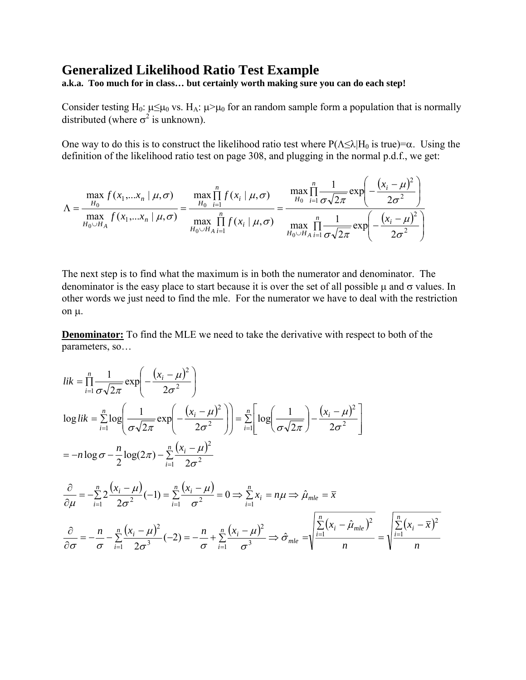## **Generalized Likelihood Ratio Test Example**

**a.k.a. Too much for in class… but certainly worth making sure you can do each step!** 

Consider testing H<sub>0</sub>:  $\mu \leq \mu_0$  vs. H<sub>A</sub>:  $\mu > \mu_0$  for an random sample form a population that is normally distributed (where  $\sigma^2$  is unknown).

One way to do this is to construct the likelihood ratio test where  $P(\Lambda \leq \lambda | H_0 \text{ is true}) = \alpha$ . Using the definition of the likelihood ratio test on page 308, and plugging in the normal p.d.f., we get:

$$
\Lambda = \frac{\max_{H_0} f(x_1,...x_n \mid \mu, \sigma)}{\max_{H_0 \cup H_A} f(x_1,...x_n \mid \mu, \sigma)} = \frac{\max_{H_0} \prod_{i=1}^n f(x_i \mid \mu, \sigma)}{\max_{H_0 \cup H_A} \prod_{i=1}^n f(x_i \mid \mu, \sigma)} = \frac{\max_{H_0} \prod_{i=1}^n \frac{1}{\sigma \sqrt{2\pi}} \exp\left(-\frac{(x_i - \mu)^2}{2\sigma^2}\right)}{\max_{H_0 \cup H_A} \prod_{i=1}^n \frac{1}{\sigma \sqrt{2\pi}} \exp\left(-\frac{(x_i - \mu)^2}{2\sigma^2}\right)}
$$

The next step is to find what the maximum is in both the numerator and denominator. The denominator is the easy place to start because it is over the set of all possible  $\mu$  and  $\sigma$  values. In other words we just need to find the mle. For the numerator we have to deal with the restriction on µ.

**Denominator:** To find the MLE we need to take the derivative with respect to both of the parameters, so…

$$
lik = \prod_{i=1}^{n} \frac{1}{\sigma \sqrt{2\pi}} \exp\left(-\frac{(x_i - \mu)^2}{2\sigma^2}\right)
$$
  
\n
$$
\log lik = \sum_{i=1}^{n} \log\left(\frac{1}{\sigma \sqrt{2\pi}} \exp\left(-\frac{(x_i - \mu)^2}{2\sigma^2}\right)\right) = \sum_{i=1}^{n} \left[\log\left(\frac{1}{\sigma \sqrt{2\pi}}\right) - \frac{(x_i - \mu)^2}{2\sigma^2}\right]
$$
  
\n
$$
= -n \log \sigma - \frac{n}{2} \log(2\pi) - \sum_{i=1}^{n} \frac{(x_i - \mu)^2}{2\sigma^2}
$$
  
\n
$$
\frac{\partial}{\partial \mu} = -\sum_{i=1}^{n} 2 \frac{(x_i - \mu)}{2\sigma^2} (-1) = \sum_{i=1}^{n} \frac{(x_i - \mu)^2}{\sigma^2} = 0 \implies \sum_{i=1}^{n} x_i = n\mu \implies \hat{\mu}_{mle} = \bar{x}
$$
  
\n
$$
\frac{\partial}{\partial \sigma} = -\frac{n}{\sigma} - \sum_{i=1}^{n} \frac{(x_i - \mu)^2}{2\sigma^3} (-2) = -\frac{n}{\sigma} + \sum_{i=1}^{n} \frac{(x_i - \mu)^2}{\sigma^3} \implies \hat{\sigma}_{mle} = \sqrt{\frac{\sum_{i=1}^{n} (x_i - \hat{\mu}_{mle})^2}{n}} = \sqrt{\frac{\sum_{i=1}^{n} (x_i - \bar{x})^2}{n}}
$$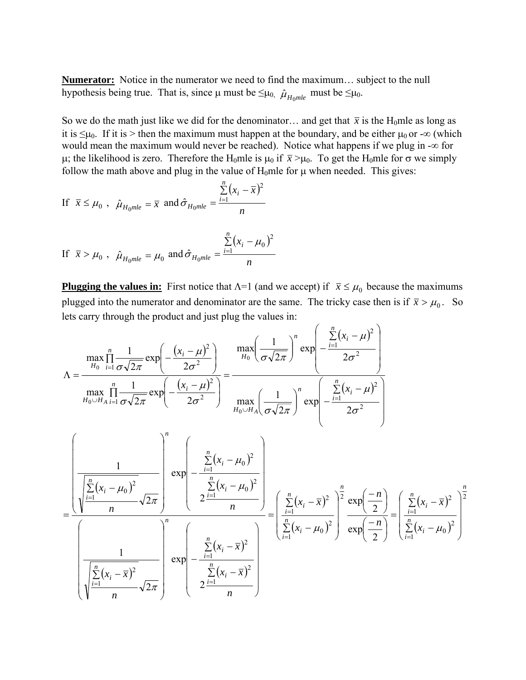**Numerator:** Notice in the numerator we need to find the maximum… subject to the null hypothesis being true. That is, since  $\mu$  must be  $\leq \mu_0$ ,  $\hat{\mu}_{H_0mle}$  must be  $\leq \mu_0$ .

So we do the math just like we did for the denominator... and get that  $\bar{x}$  is the H<sub>0</sub>mle as long as it is  $\leq \mu_0$ . If it is > then the maximum must happen at the boundary, and be either  $\mu_0$  or - $\infty$  (which would mean the maximum would never be reached). Notice what happens if we plug in -∞ for µ; the likelihood is zero. Therefore the H<sub>0</sub>mle is μ<sub>0</sub> if  $\bar{x}$  >μ<sub>0</sub>. To get the H<sub>0</sub>mle for σ we simply follow the math above and plug in the value of  $H_0$ mle for  $\mu$  when needed. This gives:

If 
$$
\overline{x} \le \mu_0
$$
,  $\hat{\mu}_{H_0mle} = \overline{x}$  and  $\hat{\sigma}_{H_0mle} = \frac{\sum_{i=1}^{n} (x_i - \overline{x})^2}{n}$ 

If 
$$
\bar{x} > \mu_0
$$
,  $\hat{\mu}_{H_0 mle} = \mu_0$  and  $\hat{\sigma}_{H_0 mle} = \frac{\sum_{i=1}^{n} (x_i - \mu_0)^2}{n}$ 

**Plugging the values in:** First notice that  $\Lambda = 1$  (and we accept) if  $\bar{x} \leq \mu_0$  because the maximums plugged into the numerator and denominator are the same. The tricky case then is if  $\bar{x} > \mu_0$ . So lets carry through the product and just plug the values in:

$$
\Lambda = \frac{\max_{H_0} \prod_{i=1}^{n} \frac{1}{\sigma \sqrt{2\pi}} \exp\left(-\frac{(x_i - \mu)^2}{2\sigma^2}\right)}{\max_{H_0 \cup H_{A}} \prod_{i=1}^{n} \frac{1}{\sigma \sqrt{2\pi}} \exp\left(-\frac{(x_i - \mu)^2}{2\sigma^2}\right)} = \frac{\max_{H_0} \left(\frac{1}{\sigma \sqrt{2\pi}}\right)^n \exp\left(-\frac{\sum_{i=1}^{n} (x_i - \mu)^2}{2\sigma^2}\right)}{\max_{H_0 \cup H_A} \left(\frac{1}{\sigma \sqrt{2\pi}}\right)^n \exp\left(-\frac{\sum_{i=1}^{n} (x_i - \mu)^2}{2\sigma^2}\right)}
$$

$$
= \frac{\left(\frac{1}{\sqrt{\sum_{i=1}^{n} (x_i - \mu_0)^2}} - \frac{1}{\sqrt{\sum_{i=1}^{n} (x_i - \mu_0)^2}} - \frac{\sum_{i=1}^{n} (x_i - \mu_0)^2}{2\sigma^2}\right)}{\frac{1}{\sqrt{\sum_{i=1}^{n} (x_i - \mu_0)^2}} - \frac{\sum_{i=1}^{n} (x_i - \mu_0)^2}{n}}\right)} = \frac{\left(\sum_{i=1}^{n} (x_i - \bar{x})^2}{\sum_{i=1}^{n} (x_i - \bar{x})^2}\right)^n \exp\left(-\frac{n}{2}\right)}{\exp\left(-\frac{n}{2}\right)} = \frac{\left(\sum_{i=1}^{n} (x_i - \bar{x})^2}{\sum_{i=1}^{n} (x_i - \mu_0)^2}\right)^n \exp\left(-\frac{n}{2}\right)} = \frac{\left(\sum_{i=1}^{n} (x_i - \bar{x})^2}{\sum_{i=1}^{n} (x_i - \mu_0)^2}\right)^n}{\frac{\left(\sum_{i=1}^{n} (x_i - \bar{x})^2}{n} \sqrt{2\pi}} \exp\left(-\frac{n}{2}\right)^n \exp\left(-\frac{n}{2}\right)^n \exp\left(-\frac{n}{2}\right)^n}
$$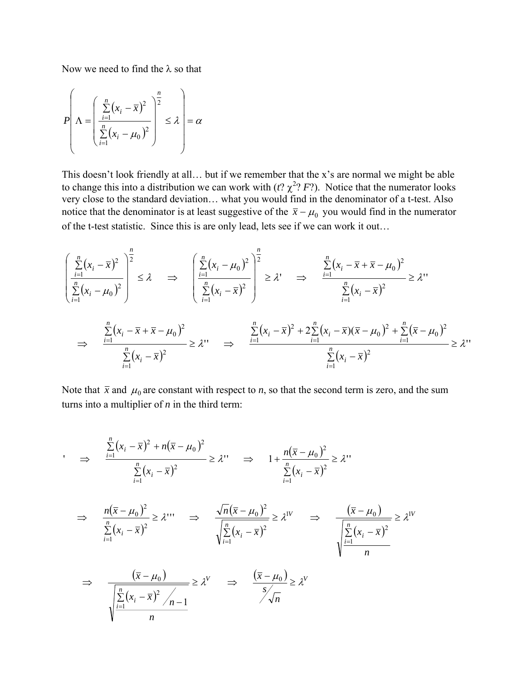Now we need to find the  $\lambda$  so that

$$
P\left(\Lambda = \left(\frac{\sum_{i=1}^{n}(x_i - \overline{x})^2}{\sum_{i=1}^{n}(x_i - \mu_0)^2}\right)^{\frac{n}{2}} \le \lambda\right) = \alpha
$$

This doesn't look friendly at all… but if we remember that the x's are normal we might be able to change this into a distribution we can work with  $(t, \chi^2, F)$ . Notice that the numerator looks very close to the standard deviation… what you would find in the denominator of a t-test. Also notice that the denominator is at least suggestive of the  $\bar{x} - \mu_0$  you would find in the numerator of the t-test statistic. Since this is are only lead, lets see if we can work it out…

$$
\frac{\left(\sum_{i=1}^{n}(x_{i}-\bar{x})^{2}\right)^{\frac{n}{2}}}{\sum_{i=1}^{n}(x_{i}-\mu_{0})^{2}} \leq \lambda \quad \Rightarrow \quad \left(\frac{\sum_{i=1}^{n}(x_{i}-\mu_{0})^{2}}{\sum_{i=1}^{n}(x_{i}-\bar{x})^{2}}\right)^{\frac{n}{2}} \geq \lambda' \quad \Rightarrow \quad \frac{\sum_{i=1}^{n}(x_{i}-\bar{x}+\bar{x}-\mu_{0})^{2}}{\sum_{i=1}^{n}(x_{i}-\bar{x})^{2}} \geq \lambda''
$$
\n
$$
\Rightarrow \quad \frac{\sum_{i=1}^{n}(x_{i}-\bar{x}+\bar{x}-\mu_{0})^{2}}{\sum_{i=1}^{n}(x_{i}-\bar{x})^{2}} \geq \lambda'' \quad \Rightarrow \quad \frac{\sum_{i=1}^{n}(x_{i}-\bar{x})^{2}+2\sum_{i=1}^{n}(x_{i}-\bar{x})(\bar{x}-\mu_{0})^{2}+\sum_{i=1}^{n}(\bar{x}-\mu_{0})^{2}}{\sum_{i=1}^{n}(x_{i}-\bar{x})^{2}} \geq \lambda''
$$

Note that  $\bar{x}$  and  $\mu_0$  are constant with respect to *n*, so that the second term is zero, and the sum turns into a multiplier of *n* in the third term:

$$
\Rightarrow \frac{\sum_{i=1}^{n} (x_i - \overline{x})^2 + n(\overline{x} - \mu_0)^2}{\sum_{i=1}^{n} (x_i - \overline{x})^2} \ge \lambda^1 \Rightarrow 1 + \frac{n(\overline{x} - \mu_0)^2}{\sum_{i=1}^{n} (x_i - \overline{x})^2} \ge \lambda^1
$$
  

$$
\Rightarrow \frac{n(\overline{x} - \mu_0)^2}{\sum_{i=1}^{n} (x_i - \overline{x})^2} \ge \lambda^{11} \Rightarrow \frac{\sqrt{n}(\overline{x} - \mu_0)^2}{\sqrt{\sum_{i=1}^{n} (x_i - \overline{x})^2}} \ge \lambda^{11} \Rightarrow \frac{(\overline{x} - \mu_0)}{\sqrt{\sum_{i=1}^{n} (x_i - \overline{x})^2}} \ge \lambda^{11}
$$
  

$$
\Rightarrow \frac{(\overline{x} - \mu_0)}{\sqrt{\sum_{i=1}^{n} (x_i - \overline{x})^2 / n - 1}} \ge \lambda^1 \Rightarrow \frac{(\overline{x} - \mu_0)}{\sum_{i=1}^{n} (x_i - \overline{x})^2} \ge \lambda^1
$$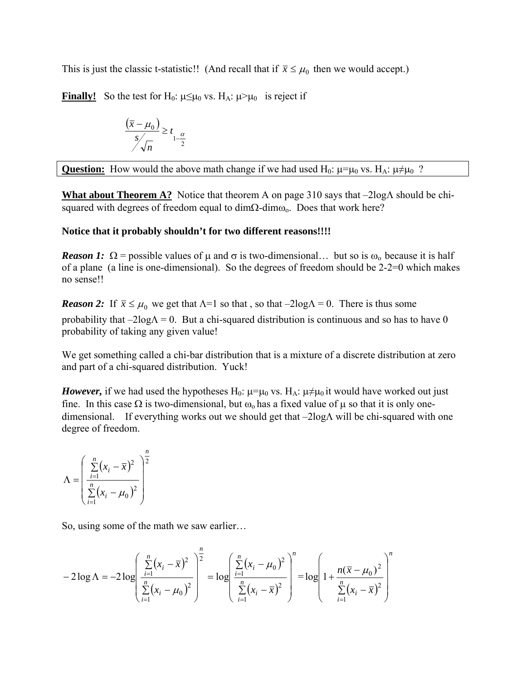This is just the classic t-statistic!! (And recall that if  $\bar{x} \leq \mu_0$  then we would accept.)

**Finally!** So the test for H<sub>0</sub>:  $\mu \leq \mu_0$  vs. H<sub>A</sub>:  $\mu > \mu_0$  is reject if

$$
\frac{(\overline{x} - \mu_0)}{s / \sqrt{n}} \ge t_{1 - \frac{\alpha}{2}}
$$

**Question:** How would the above math change if we had used H<sub>0</sub>:  $\mu = \mu_0$  vs. H<sub>A</sub>:  $\mu \neq \mu_0$  ?

**What about Theorem A?** Notice that theorem A on page 310 says that –2logΛ should be chisquared with degrees of freedom equal to dimΩ-dimω<sub>o</sub>. Does that work here?

## **Notice that it probably shouldn't for two different reasons!!!!**

*Reason 1:*  $\Omega$  = possible values of  $\mu$  and  $\sigma$  is two-dimensional... but so is  $\omega_0$  because it is half of a plane (a line is one-dimensional). So the degrees of freedom should be 2-2=0 which makes no sense!!

*Reason 2:* If  $\bar{x} \leq \mu_0$  we get that  $\Lambda = 1$  so that, so that  $-2\log \Lambda = 0$ . There is thus some probability that  $-2\log\Lambda = 0$ . But a chi-squared distribution is continuous and so has to have 0 probability of taking any given value!

We get something called a chi-bar distribution that is a mixture of a discrete distribution at zero and part of a chi-squared distribution. Yuck!

*However*, if we had used the hypotheses H<sub>0</sub>:  $\mu = \mu_0$  vs. H<sub>A</sub>:  $\mu \neq \mu_0$  it would have worked out just fine. In this case  $\Omega$  is two-dimensional, but  $\omega_0$  has a fixed value of  $\mu$  so that it is only onedimensional. If everything works out we should get that –2logΛ will be chi-squared with one degree of freedom.

$$
\Lambda = \left(\frac{\sum_{i=1}^{n} (x_i - \overline{x})^2}{\sum_{i=1}^{n} (x_i - \mu_0)^2}\right)^{\frac{n}{2}}
$$

So, using some of the math we saw earlier…

$$
-2\log\Lambda = -2\log\left(\frac{\sum\limits_{i=1}^{n}(x_i - \bar{x})^2}{\sum\limits_{i=1}^{n}(x_i - \mu_0)^2}\right)^{\frac{n}{2}} = \log\left(\frac{\sum\limits_{i=1}^{n}(x_i - \mu_0)^2}{\sum\limits_{i=1}^{n}(x_i - \bar{x})^2}\right)^{\frac{n}{2}} = \log\left(1 + \frac{n(\bar{x} - \mu_0)^2}{\sum\limits_{i=1}^{n}(x_i - \bar{x})^2}\right)^{\frac{n}{2}}
$$